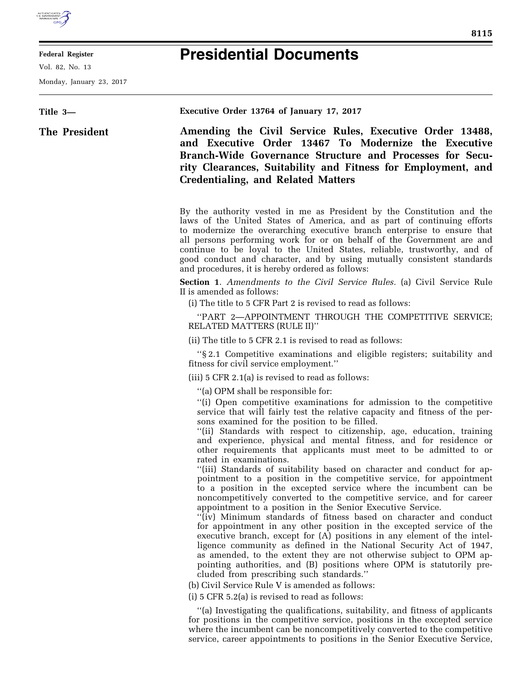

## **Federal Register**

Vol. 82, No. 13

Monday, January 23, 2017

## **Presidential Documents**

**Title 3— The President Executive Order 13764 of January 17, 2017 Amending the Civil Service Rules, Executive Order 13488, and Executive Order 13467 To Modernize the Executive Branch-Wide Governance Structure and Processes for Security Clearances, Suitability and Fitness for Employment, and Credentialing, and Related Matters**  By the authority vested in me as President by the Constitution and the laws of the United States of America, and as part of continuing efforts to modernize the overarching executive branch enterprise to ensure that all persons performing work for or on behalf of the Government are and continue to be loyal to the United States, reliable, trustworthy, and of good conduct and character, and by using mutually consistent standards and procedures, it is hereby ordered as follows: **Section 1**. *Amendments to the Civil Service Rules.* (a) Civil Service Rule II is amended as follows: (i) The title to 5 CFR Part 2 is revised to read as follows: ''PART 2—APPOINTMENT THROUGH THE COMPETITIVE SERVICE; RELATED MATTERS (RULE II)'' (ii) The title to 5 CFR 2.1 is revised to read as follows: ''§ 2.1 Competitive examinations and eligible registers; suitability and fitness for civil service employment.'' (iii) 5 CFR 2.1(a) is revised to read as follows: ''(a) OPM shall be responsible for: ''(i) Open competitive examinations for admission to the competitive service that will fairly test the relative capacity and fitness of the persons examined for the position to be filled. ''(ii) Standards with respect to citizenship, age, education, training and experience, physical and mental fitness, and for residence or other requirements that applicants must meet to be admitted to or rated in examinations. ''(iii) Standards of suitability based on character and conduct for appointment to a position in the competitive service, for appointment to a position in the excepted service where the incumbent can be noncompetitively converted to the competitive service, and for career appointment to a position in the Senior Executive Service. ''(iv) Minimum standards of fitness based on character and conduct for appointment in any other position in the excepted service of the executive branch, except for (A) positions in any element of the intelligence community as defined in the National Security Act of 1947, as amended, to the extent they are not otherwise subject to OPM appointing authorities, and (B) positions where OPM is statutorily precluded from prescribing such standards.'' (b) Civil Service Rule V is amended as follows: (i) 5 CFR 5.2(a) is revised to read as follows: ''(a) Investigating the qualifications, suitability, and fitness of applicants for positions in the competitive service, positions in the excepted service where the incumbent can be noncompetitively converted to the competitive service, career appointments to positions in the Senior Executive Service,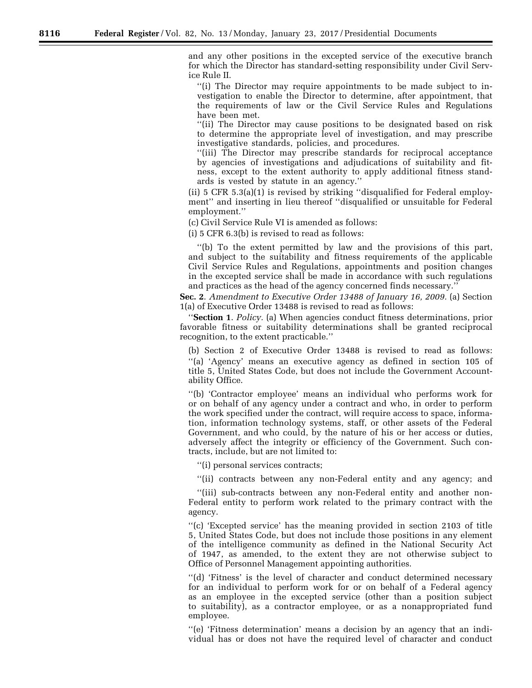and any other positions in the excepted service of the executive branch for which the Director has standard-setting responsibility under Civil Service Rule II.

''(i) The Director may require appointments to be made subject to investigation to enable the Director to determine, after appointment, that the requirements of law or the Civil Service Rules and Regulations have been met.

"(ii) The Director may cause positions to be designated based on risk to determine the appropriate level of investigation, and may prescribe investigative standards, policies, and procedures.

''(iii) The Director may prescribe standards for reciprocal acceptance by agencies of investigations and adjudications of suitability and fitness, except to the extent authority to apply additional fitness standards is vested by statute in an agency.''

(ii) 5 CFR 5.3(a)(1) is revised by striking ''disqualified for Federal employment'' and inserting in lieu thereof ''disqualified or unsuitable for Federal employment.''

(c) Civil Service Rule VI is amended as follows:

(i) 5 CFR 6.3(b) is revised to read as follows:

''(b) To the extent permitted by law and the provisions of this part, and subject to the suitability and fitness requirements of the applicable Civil Service Rules and Regulations, appointments and position changes in the excepted service shall be made in accordance with such regulations and practices as the head of the agency concerned finds necessary.''

**Sec. 2**. *Amendment to Executive Order 13488 of January 16, 2009.* (a) Section 1(a) of Executive Order 13488 is revised to read as follows:

''**Section 1**. *Policy.* (a) When agencies conduct fitness determinations, prior favorable fitness or suitability determinations shall be granted reciprocal recognition, to the extent practicable.''

(b) Section 2 of Executive Order 13488 is revised to read as follows: ''(a) 'Agency' means an executive agency as defined in section 105 of title 5, United States Code, but does not include the Government Accountability Office.

''(b) 'Contractor employee' means an individual who performs work for or on behalf of any agency under a contract and who, in order to perform the work specified under the contract, will require access to space, information, information technology systems, staff, or other assets of the Federal Government, and who could, by the nature of his or her access or duties, adversely affect the integrity or efficiency of the Government. Such contracts, include, but are not limited to:

''(i) personal services contracts;

''(ii) contracts between any non-Federal entity and any agency; and

''(iii) sub-contracts between any non-Federal entity and another non-Federal entity to perform work related to the primary contract with the agency.

''(c) 'Excepted service' has the meaning provided in section 2103 of title 5, United States Code, but does not include those positions in any element of the intelligence community as defined in the National Security Act of 1947, as amended, to the extent they are not otherwise subject to Office of Personnel Management appointing authorities.

''(d) 'Fitness' is the level of character and conduct determined necessary for an individual to perform work for or on behalf of a Federal agency as an employee in the excepted service (other than a position subject to suitability), as a contractor employee, or as a nonappropriated fund employee.

''(e) 'Fitness determination' means a decision by an agency that an individual has or does not have the required level of character and conduct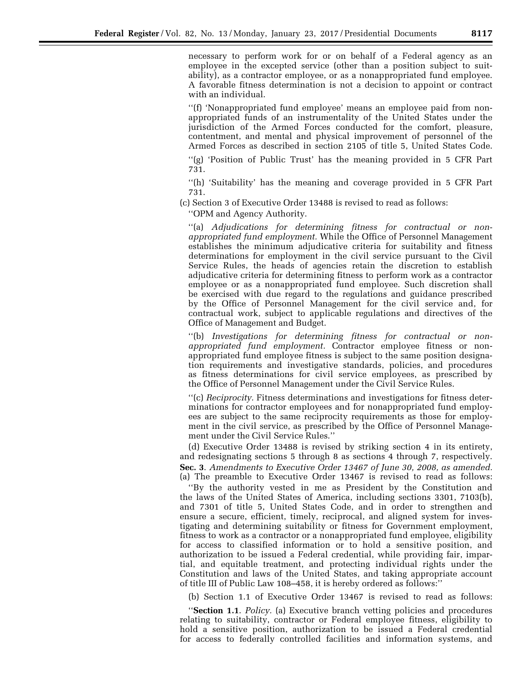necessary to perform work for or on behalf of a Federal agency as an employee in the excepted service (other than a position subject to suitability), as a contractor employee, or as a nonappropriated fund employee. A favorable fitness determination is not a decision to appoint or contract with an individual.

''(f) 'Nonappropriated fund employee' means an employee paid from nonappropriated funds of an instrumentality of the United States under the jurisdiction of the Armed Forces conducted for the comfort, pleasure, contentment, and mental and physical improvement of personnel of the Armed Forces as described in section 2105 of title 5, United States Code.

''(g) 'Position of Public Trust' has the meaning provided in 5 CFR Part 731.

''(h) 'Suitability' has the meaning and coverage provided in 5 CFR Part 731.

(c) Section 3 of Executive Order 13488 is revised to read as follows:

''OPM and Agency Authority.

''(a) *Adjudications for determining fitness for contractual or nonappropriated fund employment.* While the Office of Personnel Management establishes the minimum adjudicative criteria for suitability and fitness determinations for employment in the civil service pursuant to the Civil Service Rules, the heads of agencies retain the discretion to establish adjudicative criteria for determining fitness to perform work as a contractor employee or as a nonappropriated fund employee. Such discretion shall be exercised with due regard to the regulations and guidance prescribed by the Office of Personnel Management for the civil service and, for contractual work, subject to applicable regulations and directives of the Office of Management and Budget.

''(b) *Investigations for determining fitness for contractual or nonappropriated fund employment.* Contractor employee fitness or nonappropriated fund employee fitness is subject to the same position designation requirements and investigative standards, policies, and procedures as fitness determinations for civil service employees, as prescribed by the Office of Personnel Management under the Civil Service Rules.

''(c) *Reciprocity.* Fitness determinations and investigations for fitness determinations for contractor employees and for nonappropriated fund employees are subject to the same reciprocity requirements as those for employment in the civil service, as prescribed by the Office of Personnel Management under the Civil Service Rules.''

(d) Executive Order 13488 is revised by striking section 4 in its entirety, and redesignating sections 5 through 8 as sections 4 through 7, respectively. **Sec. 3**. *Amendments to Executive Order 13467 of June 30, 2008, as amended.*  (a) The preamble to Executive Order 13467 is revised to read as follows:

''By the authority vested in me as President by the Constitution and the laws of the United States of America, including sections 3301, 7103(b), and 7301 of title 5, United States Code, and in order to strengthen and ensure a secure, efficient, timely, reciprocal, and aligned system for investigating and determining suitability or fitness for Government employment, fitness to work as a contractor or a nonappropriated fund employee, eligibility for access to classified information or to hold a sensitive position, and authorization to be issued a Federal credential, while providing fair, impartial, and equitable treatment, and protecting individual rights under the Constitution and laws of the United States, and taking appropriate account of title III of Public Law 108–458, it is hereby ordered as follows:''

(b) Section 1.1 of Executive Order 13467 is revised to read as follows:

''**Section 1.1**. *Policy.* (a) Executive branch vetting policies and procedures relating to suitability, contractor or Federal employee fitness, eligibility to hold a sensitive position, authorization to be issued a Federal credential for access to federally controlled facilities and information systems, and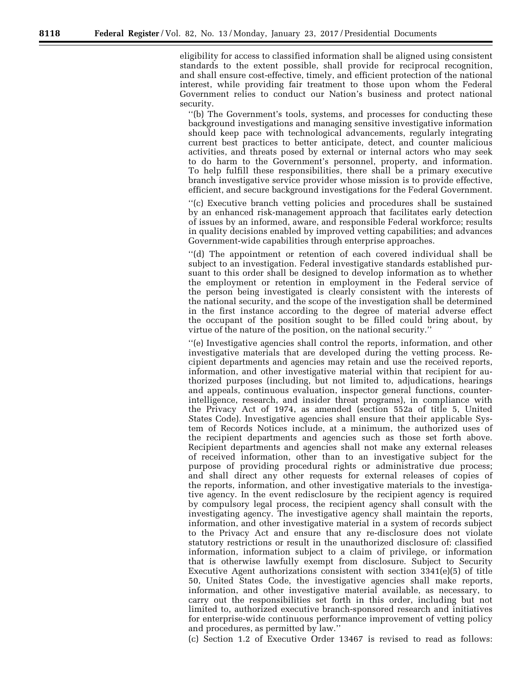eligibility for access to classified information shall be aligned using consistent standards to the extent possible, shall provide for reciprocal recognition, and shall ensure cost-effective, timely, and efficient protection of the national interest, while providing fair treatment to those upon whom the Federal Government relies to conduct our Nation's business and protect national security.

''(b) The Government's tools, systems, and processes for conducting these background investigations and managing sensitive investigative information should keep pace with technological advancements, regularly integrating current best practices to better anticipate, detect, and counter malicious activities, and threats posed by external or internal actors who may seek to do harm to the Government's personnel, property, and information. To help fulfill these responsibilities, there shall be a primary executive branch investigative service provider whose mission is to provide effective, efficient, and secure background investigations for the Federal Government.

''(c) Executive branch vetting policies and procedures shall be sustained by an enhanced risk-management approach that facilitates early detection of issues by an informed, aware, and responsible Federal workforce; results in quality decisions enabled by improved vetting capabilities; and advances Government-wide capabilities through enterprise approaches.

''(d) The appointment or retention of each covered individual shall be subject to an investigation. Federal investigative standards established pursuant to this order shall be designed to develop information as to whether the employment or retention in employment in the Federal service of the person being investigated is clearly consistent with the interests of the national security, and the scope of the investigation shall be determined in the first instance according to the degree of material adverse effect the occupant of the position sought to be filled could bring about, by virtue of the nature of the position, on the national security.''

''(e) Investigative agencies shall control the reports, information, and other investigative materials that are developed during the vetting process. Recipient departments and agencies may retain and use the received reports, information, and other investigative material within that recipient for authorized purposes (including, but not limited to, adjudications, hearings and appeals, continuous evaluation, inspector general functions, counterintelligence, research, and insider threat programs), in compliance with the Privacy Act of 1974, as amended (section 552a of title 5, United States Code). Investigative agencies shall ensure that their applicable System of Records Notices include, at a minimum, the authorized uses of the recipient departments and agencies such as those set forth above. Recipient departments and agencies shall not make any external releases of received information, other than to an investigative subject for the purpose of providing procedural rights or administrative due process; and shall direct any other requests for external releases of copies of the reports, information, and other investigative materials to the investigative agency. In the event redisclosure by the recipient agency is required by compulsory legal process, the recipient agency shall consult with the investigating agency. The investigative agency shall maintain the reports, information, and other investigative material in a system of records subject to the Privacy Act and ensure that any re-disclosure does not violate statutory restrictions or result in the unauthorized disclosure of: classified information, information subject to a claim of privilege, or information that is otherwise lawfully exempt from disclosure. Subject to Security Executive Agent authorizations consistent with section  $3341(e)(5)$  of title 50, United States Code, the investigative agencies shall make reports, information, and other investigative material available, as necessary, to carry out the responsibilities set forth in this order, including but not limited to, authorized executive branch-sponsored research and initiatives for enterprise-wide continuous performance improvement of vetting policy and procedures, as permitted by law.''

(c) Section 1.2 of Executive Order 13467 is revised to read as follows: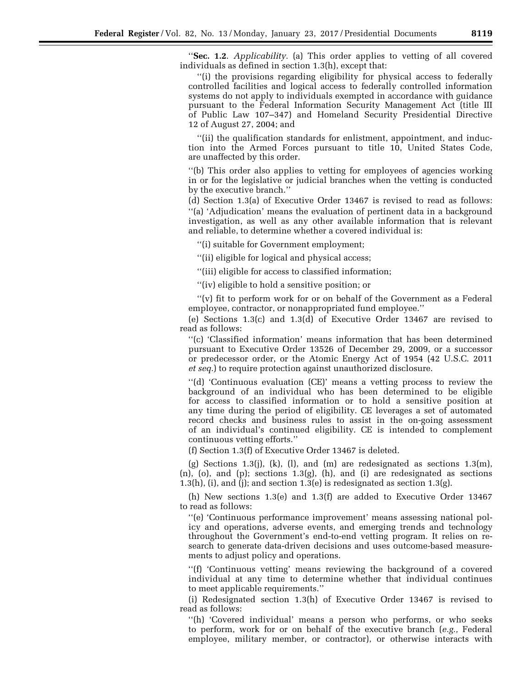''**Sec. 1.2**. *Applicability.* (a) This order applies to vetting of all covered individuals as defined in section 1.3(h), except that:

''(i) the provisions regarding eligibility for physical access to federally controlled facilities and logical access to federally controlled information systems do not apply to individuals exempted in accordance with guidance pursuant to the Federal Information Security Management Act (title III of Public Law 107–347) and Homeland Security Presidential Directive 12 of August 27, 2004; and

''(ii) the qualification standards for enlistment, appointment, and induction into the Armed Forces pursuant to title 10, United States Code, are unaffected by this order.

''(b) This order also applies to vetting for employees of agencies working in or for the legislative or judicial branches when the vetting is conducted by the executive branch.''

(d) Section 1.3(a) of Executive Order 13467 is revised to read as follows: ''(a) 'Adjudication' means the evaluation of pertinent data in a background investigation, as well as any other available information that is relevant and reliable, to determine whether a covered individual is:

''(i) suitable for Government employment;

''(ii) eligible for logical and physical access;

''(iii) eligible for access to classified information;

''(iv) eligible to hold a sensitive position; or

"(v) fit to perform work for or on behalf of the Government as a Federal employee, contractor, or nonappropriated fund employee.''

(e) Sections 1.3(c) and 1.3(d) of Executive Order 13467 are revised to read as follows:

''(c) 'Classified information' means information that has been determined pursuant to Executive Order 13526 of December 29, 2009, or a successor or predecessor order, or the Atomic Energy Act of 1954 (42 U.S.C. 2011 *et seq.*) to require protection against unauthorized disclosure.

''(d) 'Continuous evaluation (CE)' means a vetting process to review the background of an individual who has been determined to be eligible for access to classified information or to hold a sensitive position at any time during the period of eligibility. CE leverages a set of automated record checks and business rules to assist in the on-going assessment of an individual's continued eligibility. CE is intended to complement continuous vetting efforts.''

(f) Section 1.3(f) of Executive Order 13467 is deleted.

(g) Sections 1.3(j), (k), (l), and (m) are redesignated as sections  $1.3(m)$ ,  $(n)$ ,  $(o)$ , and  $(p)$ ; sections 1.3 $(g)$ ,  $(h)$ , and  $(i)$  are redesignated as sections 1.3(h), (i), and (j); and section 1.3(e) is redesignated as section 1.3(g).

(h) New sections 1.3(e) and 1.3(f) are added to Executive Order 13467 to read as follows:

''(e) 'Continuous performance improvement' means assessing national policy and operations, adverse events, and emerging trends and technology throughout the Government's end-to-end vetting program. It relies on research to generate data-driven decisions and uses outcome-based measurements to adjust policy and operations.

''(f) 'Continuous vetting' means reviewing the background of a covered individual at any time to determine whether that individual continues to meet applicable requirements.''

(i) Redesignated section 1.3(h) of Executive Order 13467 is revised to read as follows:

''(h) 'Covered individual' means a person who performs, or who seeks to perform, work for or on behalf of the executive branch (*e.g.,* Federal employee, military member, or contractor), or otherwise interacts with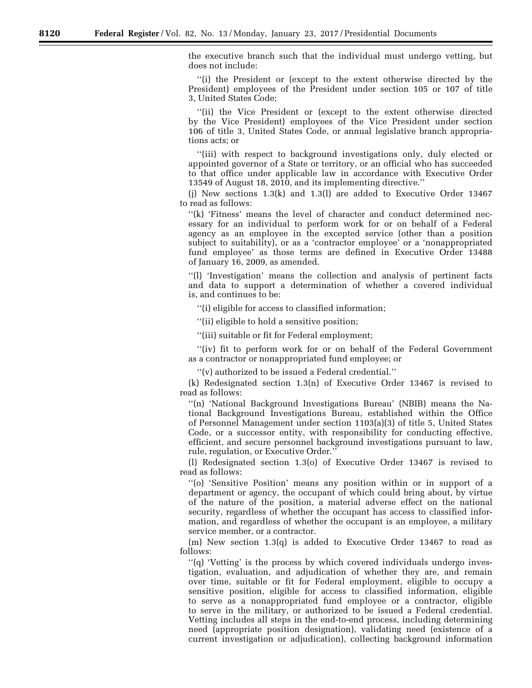the executive branch such that the individual must undergo vetting, but does not include:

''(i) the President or (except to the extent otherwise directed by the President) employees of the President under section 105 or 107 of title 3, United States Code;

''(ii) the Vice President or (except to the extent otherwise directed by the Vice President) employees of the Vice President under section 106 of title 3, United States Code, or annual legislative branch appropriations acts; or

''(iii) with respect to background investigations only, duly elected or appointed governor of a State or territory, or an official who has succeeded to that office under applicable law in accordance with Executive Order 13549 of August 18, 2010, and its implementing directive.''

(j) New sections 1.3(k) and 1.3(l) are added to Executive Order 13467 to read as follows:

''(k) 'Fitness' means the level of character and conduct determined necessary for an individual to perform work for or on behalf of a Federal agency as an employee in the excepted service (other than a position subject to suitability), or as a 'contractor employee' or a 'nonappropriated fund employee' as those terms are defined in Executive Order 13488 of January 16, 2009, as amended.

''(l) 'Investigation' means the collection and analysis of pertinent facts and data to support a determination of whether a covered individual is, and continues to be:

''(i) eligible for access to classified information;

''(ii) eligible to hold a sensitive position;

''(iii) suitable or fit for Federal employment;

"(iv) fit to perform work for or on behalf of the Federal Government as a contractor or nonappropriated fund employee; or

''(v) authorized to be issued a Federal credential.''

(k) Redesignated section 1.3(n) of Executive Order 13467 is revised to read as follows:

''(n) 'National Background Investigations Bureau' (NBIB) means the National Background Investigations Bureau, established within the Office of Personnel Management under section 1103(a)(3) of title 5, United States Code, or a successor entity, with responsibility for conducting effective, efficient, and secure personnel background investigations pursuant to law, rule, regulation, or Executive Order.''

(l) Redesignated section 1.3(o) of Executive Order 13467 is revised to read as follows:

''(o) 'Sensitive Position' means any position within or in support of a department or agency, the occupant of which could bring about, by virtue of the nature of the position, a material adverse effect on the national security, regardless of whether the occupant has access to classified information, and regardless of whether the occupant is an employee, a military service member, or a contractor.

(m) New section 1.3(q) is added to Executive Order 13467 to read as follows:

''(q) 'Vetting' is the process by which covered individuals undergo investigation, evaluation, and adjudication of whether they are, and remain over time, suitable or fit for Federal employment, eligible to occupy a sensitive position, eligible for access to classified information, eligible to serve as a nonappropriated fund employee or a contractor, eligible to serve in the military, or authorized to be issued a Federal credential. Vetting includes all steps in the end-to-end process, including determining need (appropriate position designation), validating need (existence of a current investigation or adjudication), collecting background information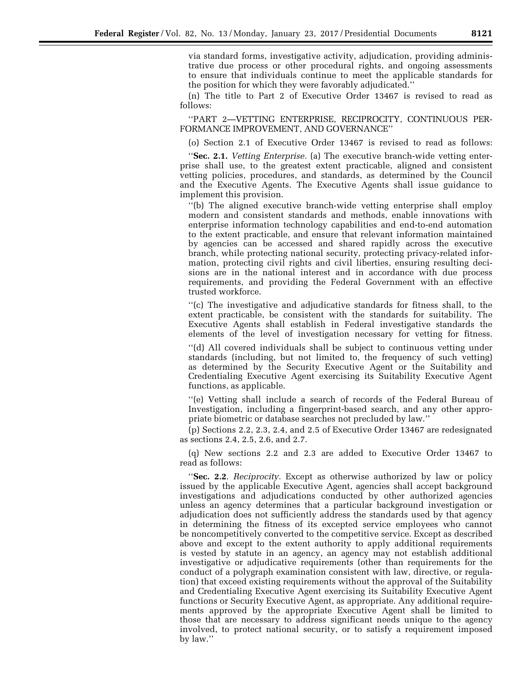via standard forms, investigative activity, adjudication, providing administrative due process or other procedural rights, and ongoing assessments to ensure that individuals continue to meet the applicable standards for the position for which they were favorably adjudicated.''

(n) The title to Part 2 of Executive Order 13467 is revised to read as follows:

''PART 2—VETTING ENTERPRISE, RECIPROCITY, CONTINUOUS PER-FORMANCE IMPROVEMENT, AND GOVERNANCE''

(o) Section 2.1 of Executive Order 13467 is revised to read as follows:

''**Sec. 2.1.** *Vetting Enterprise.* (a) The executive branch-wide vetting enterprise shall use, to the greatest extent practicable, aligned and consistent vetting policies, procedures, and standards, as determined by the Council and the Executive Agents. The Executive Agents shall issue guidance to implement this provision.

''(b) The aligned executive branch-wide vetting enterprise shall employ modern and consistent standards and methods, enable innovations with enterprise information technology capabilities and end-to-end automation to the extent practicable, and ensure that relevant information maintained by agencies can be accessed and shared rapidly across the executive branch, while protecting national security, protecting privacy-related information, protecting civil rights and civil liberties, ensuring resulting decisions are in the national interest and in accordance with due process requirements, and providing the Federal Government with an effective trusted workforce.

''(c) The investigative and adjudicative standards for fitness shall, to the extent practicable, be consistent with the standards for suitability. The Executive Agents shall establish in Federal investigative standards the elements of the level of investigation necessary for vetting for fitness.

''(d) All covered individuals shall be subject to continuous vetting under standards (including, but not limited to, the frequency of such vetting) as determined by the Security Executive Agent or the Suitability and Credentialing Executive Agent exercising its Suitability Executive Agent functions, as applicable.

''(e) Vetting shall include a search of records of the Federal Bureau of Investigation, including a fingerprint-based search, and any other appropriate biometric or database searches not precluded by law.''

(p) Sections 2.2, 2.3, 2.4, and 2.5 of Executive Order 13467 are redesignated as sections 2.4, 2.5, 2.6, and 2.7.

(q) New sections 2.2 and 2.3 are added to Executive Order 13467 to read as follows:

''**Sec. 2.2**. *Reciprocity.* Except as otherwise authorized by law or policy issued by the applicable Executive Agent, agencies shall accept background investigations and adjudications conducted by other authorized agencies unless an agency determines that a particular background investigation or adjudication does not sufficiently address the standards used by that agency in determining the fitness of its excepted service employees who cannot be noncompetitively converted to the competitive service. Except as described above and except to the extent authority to apply additional requirements is vested by statute in an agency, an agency may not establish additional investigative or adjudicative requirements (other than requirements for the conduct of a polygraph examination consistent with law, directive, or regulation) that exceed existing requirements without the approval of the Suitability and Credentialing Executive Agent exercising its Suitability Executive Agent functions or Security Executive Agent, as appropriate. Any additional requirements approved by the appropriate Executive Agent shall be limited to those that are necessary to address significant needs unique to the agency involved, to protect national security, or to satisfy a requirement imposed by law.''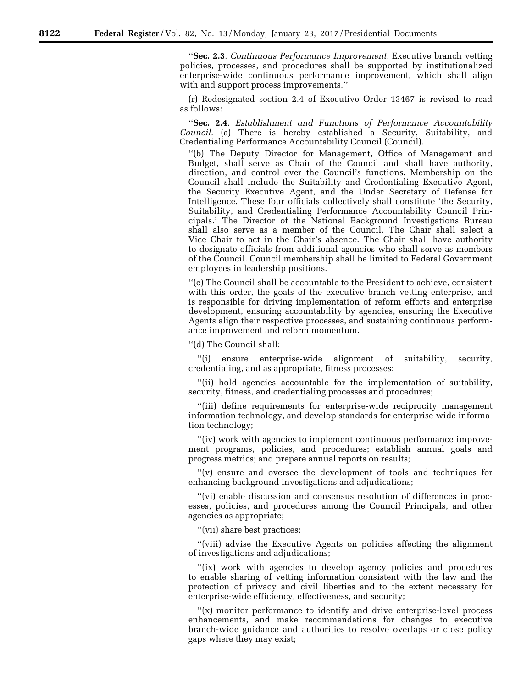''**Sec. 2.3**. *Continuous Performance Improvement.* Executive branch vetting policies, processes, and procedures shall be supported by institutionalized enterprise-wide continuous performance improvement, which shall align with and support process improvements.''

(r) Redesignated section 2.4 of Executive Order 13467 is revised to read as follows:

''**Sec. 2.4**. *Establishment and Functions of Performance Accountability Council.* (a) There is hereby established a Security, Suitability, and Credentialing Performance Accountability Council (Council).

''(b) The Deputy Director for Management, Office of Management and Budget, shall serve as Chair of the Council and shall have authority, direction, and control over the Council's functions. Membership on the Council shall include the Suitability and Credentialing Executive Agent, the Security Executive Agent, and the Under Secretary of Defense for Intelligence. These four officials collectively shall constitute 'the Security, Suitability, and Credentialing Performance Accountability Council Principals.' The Director of the National Background Investigations Bureau shall also serve as a member of the Council. The Chair shall select a Vice Chair to act in the Chair's absence. The Chair shall have authority to designate officials from additional agencies who shall serve as members of the Council. Council membership shall be limited to Federal Government employees in leadership positions.

''(c) The Council shall be accountable to the President to achieve, consistent with this order, the goals of the executive branch vetting enterprise, and is responsible for driving implementation of reform efforts and enterprise development, ensuring accountability by agencies, ensuring the Executive Agents align their respective processes, and sustaining continuous performance improvement and reform momentum.

''(d) The Council shall:

''(i) ensure enterprise-wide alignment of suitability, security, credentialing, and as appropriate, fitness processes;

''(ii) hold agencies accountable for the implementation of suitability, security, fitness, and credentialing processes and procedures;

''(iii) define requirements for enterprise-wide reciprocity management information technology, and develop standards for enterprise-wide information technology;

''(iv) work with agencies to implement continuous performance improvement programs, policies, and procedures; establish annual goals and progress metrics; and prepare annual reports on results;

''(v) ensure and oversee the development of tools and techniques for enhancing background investigations and adjudications;

''(vi) enable discussion and consensus resolution of differences in processes, policies, and procedures among the Council Principals, and other agencies as appropriate;

''(vii) share best practices;

''(viii) advise the Executive Agents on policies affecting the alignment of investigations and adjudications;

"(ix) work with agencies to develop agency policies and procedures to enable sharing of vetting information consistent with the law and the protection of privacy and civil liberties and to the extent necessary for enterprise-wide efficiency, effectiveness, and security;

''(x) monitor performance to identify and drive enterprise-level process enhancements, and make recommendations for changes to executive branch-wide guidance and authorities to resolve overlaps or close policy gaps where they may exist;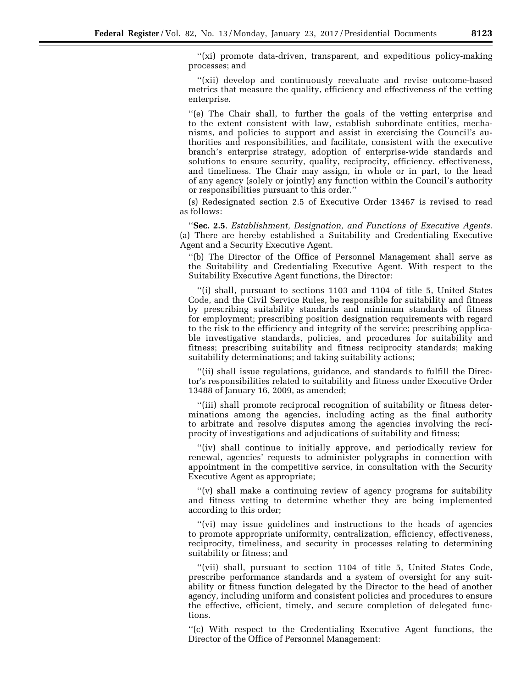''(xi) promote data-driven, transparent, and expeditious policy-making processes; and

''(xii) develop and continuously reevaluate and revise outcome-based metrics that measure the quality, efficiency and effectiveness of the vetting enterprise.

''(e) The Chair shall, to further the goals of the vetting enterprise and to the extent consistent with law, establish subordinate entities, mechanisms, and policies to support and assist in exercising the Council's authorities and responsibilities, and facilitate, consistent with the executive branch's enterprise strategy, adoption of enterprise-wide standards and solutions to ensure security, quality, reciprocity, efficiency, effectiveness, and timeliness. The Chair may assign, in whole or in part, to the head of any agency (solely or jointly) any function within the Council's authority or responsibilities pursuant to this order.''

(s) Redesignated section 2.5 of Executive Order 13467 is revised to read as follows:

''**Sec. 2.5**. *Establishment, Designation, and Functions of Executive Agents.*  (a) There are hereby established a Suitability and Credentialing Executive Agent and a Security Executive Agent.

''(b) The Director of the Office of Personnel Management shall serve as the Suitability and Credentialing Executive Agent. With respect to the Suitability Executive Agent functions, the Director:

''(i) shall, pursuant to sections 1103 and 1104 of title 5, United States Code, and the Civil Service Rules, be responsible for suitability and fitness by prescribing suitability standards and minimum standards of fitness for employment; prescribing position designation requirements with regard to the risk to the efficiency and integrity of the service; prescribing applicable investigative standards, policies, and procedures for suitability and fitness; prescribing suitability and fitness reciprocity standards; making suitability determinations; and taking suitability actions;

''(ii) shall issue regulations, guidance, and standards to fulfill the Director's responsibilities related to suitability and fitness under Executive Order 13488 of January 16, 2009, as amended;

''(iii) shall promote reciprocal recognition of suitability or fitness determinations among the agencies, including acting as the final authority to arbitrate and resolve disputes among the agencies involving the reciprocity of investigations and adjudications of suitability and fitness;

"(iv) shall continue to initially approve, and periodically review for renewal, agencies' requests to administer polygraphs in connection with appointment in the competitive service, in consultation with the Security Executive Agent as appropriate;

''(v) shall make a continuing review of agency programs for suitability and fitness vetting to determine whether they are being implemented according to this order;

''(vi) may issue guidelines and instructions to the heads of agencies to promote appropriate uniformity, centralization, efficiency, effectiveness, reciprocity, timeliness, and security in processes relating to determining suitability or fitness; and

''(vii) shall, pursuant to section 1104 of title 5, United States Code, prescribe performance standards and a system of oversight for any suitability or fitness function delegated by the Director to the head of another agency, including uniform and consistent policies and procedures to ensure the effective, efficient, timely, and secure completion of delegated functions.

''(c) With respect to the Credentialing Executive Agent functions, the Director of the Office of Personnel Management: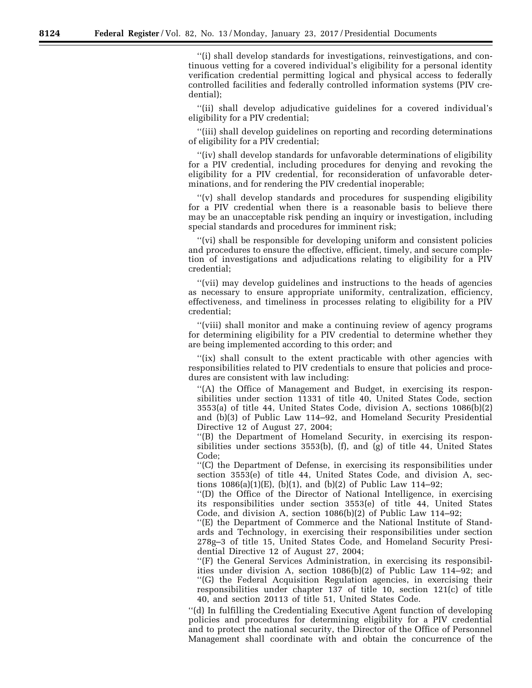''(i) shall develop standards for investigations, reinvestigations, and continuous vetting for a covered individual's eligibility for a personal identity verification credential permitting logical and physical access to federally controlled facilities and federally controlled information systems (PIV credential);

''(ii) shall develop adjudicative guidelines for a covered individual's eligibility for a PIV credential;

''(iii) shall develop guidelines on reporting and recording determinations of eligibility for a PIV credential;

''(iv) shall develop standards for unfavorable determinations of eligibility for a PIV credential, including procedures for denying and revoking the eligibility for a PIV credential, for reconsideration of unfavorable determinations, and for rendering the PIV credential inoperable;

''(v) shall develop standards and procedures for suspending eligibility for a PIV credential when there is a reasonable basis to believe there may be an unacceptable risk pending an inquiry or investigation, including special standards and procedures for imminent risk;

''(vi) shall be responsible for developing uniform and consistent policies and procedures to ensure the effective, efficient, timely, and secure completion of investigations and adjudications relating to eligibility for a PIV credential;

''(vii) may develop guidelines and instructions to the heads of agencies as necessary to ensure appropriate uniformity, centralization, efficiency, effectiveness, and timeliness in processes relating to eligibility for a PIV credential;

''(viii) shall monitor and make a continuing review of agency programs for determining eligibility for a PIV credential to determine whether they are being implemented according to this order; and

"(ix) shall consult to the extent practicable with other agencies with responsibilities related to PIV credentials to ensure that policies and procedures are consistent with law including:

''(A) the Office of Management and Budget, in exercising its responsibilities under section 11331 of title 40, United States Code, section 3553(a) of title 44, United States Code, division A, sections 1086(b)(2) and (b)(3) of Public Law 114–92, and Homeland Security Presidential Directive 12 of August 27, 2004;

''(B) the Department of Homeland Security, in exercising its responsibilities under sections  $3553(b)$ , (f), and (g) of title 44, United States Code;

''(C) the Department of Defense, in exercising its responsibilities under section 3553(e) of title 44, United States Code, and division A, sections  $1086(a)(1)(E)$ , (b)(1), and (b)(2) of Public Law  $114-92$ ;

''(D) the Office of the Director of National Intelligence, in exercising its responsibilities under section 3553(e) of title 44, United States Code, and division A, section 1086(b)(2) of Public Law 114–92;

''(E) the Department of Commerce and the National Institute of Standards and Technology, in exercising their responsibilities under section 278g–3 of title 15, United States Code, and Homeland Security Presidential Directive 12 of August 27, 2004;

''(F) the General Services Administration, in exercising its responsibilities under division A, section 1086(b)(2) of Public Law 114–92; and ''(G) the Federal Acquisition Regulation agencies, in exercising their responsibilities under chapter 137 of title 10, section 121(c) of title 40, and section 20113 of title 51, United States Code.

''(d) In fulfilling the Credentialing Executive Agent function of developing policies and procedures for determining eligibility for a PIV credential and to protect the national security, the Director of the Office of Personnel Management shall coordinate with and obtain the concurrence of the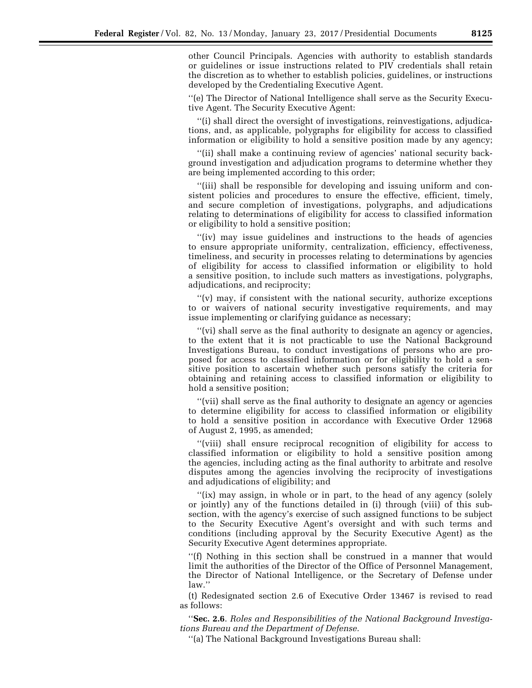other Council Principals. Agencies with authority to establish standards or guidelines or issue instructions related to PIV credentials shall retain the discretion as to whether to establish policies, guidelines, or instructions developed by the Credentialing Executive Agent.

''(e) The Director of National Intelligence shall serve as the Security Executive Agent. The Security Executive Agent:

''(i) shall direct the oversight of investigations, reinvestigations, adjudications, and, as applicable, polygraphs for eligibility for access to classified information or eligibility to hold a sensitive position made by any agency;

''(ii) shall make a continuing review of agencies' national security background investigation and adjudication programs to determine whether they are being implemented according to this order;

''(iii) shall be responsible for developing and issuing uniform and consistent policies and procedures to ensure the effective, efficient, timely, and secure completion of investigations, polygraphs, and adjudications relating to determinations of eligibility for access to classified information or eligibility to hold a sensitive position;

''(iv) may issue guidelines and instructions to the heads of agencies to ensure appropriate uniformity, centralization, efficiency, effectiveness, timeliness, and security in processes relating to determinations by agencies of eligibility for access to classified information or eligibility to hold a sensitive position, to include such matters as investigations, polygraphs, adjudications, and reciprocity;

''(v) may, if consistent with the national security, authorize exceptions to or waivers of national security investigative requirements, and may issue implementing or clarifying guidance as necessary;

''(vi) shall serve as the final authority to designate an agency or agencies, to the extent that it is not practicable to use the National Background Investigations Bureau, to conduct investigations of persons who are proposed for access to classified information or for eligibility to hold a sensitive position to ascertain whether such persons satisfy the criteria for obtaining and retaining access to classified information or eligibility to hold a sensitive position;

''(vii) shall serve as the final authority to designate an agency or agencies to determine eligibility for access to classified information or eligibility to hold a sensitive position in accordance with Executive Order 12968 of August 2, 1995, as amended;

''(viii) shall ensure reciprocal recognition of eligibility for access to classified information or eligibility to hold a sensitive position among the agencies, including acting as the final authority to arbitrate and resolve disputes among the agencies involving the reciprocity of investigations and adjudications of eligibility; and

"(ix) may assign, in whole or in part, to the head of any agency (solely or jointly) any of the functions detailed in (i) through (viii) of this subsection, with the agency's exercise of such assigned functions to be subject to the Security Executive Agent's oversight and with such terms and conditions (including approval by the Security Executive Agent) as the Security Executive Agent determines appropriate.

''(f) Nothing in this section shall be construed in a manner that would limit the authorities of the Director of the Office of Personnel Management, the Director of National Intelligence, or the Secretary of Defense under law.''

(t) Redesignated section 2.6 of Executive Order 13467 is revised to read as follows:

''**Sec. 2.6**. *Roles and Responsibilities of the National Background Investigations Bureau and the Department of Defense.* 

''(a) The National Background Investigations Bureau shall: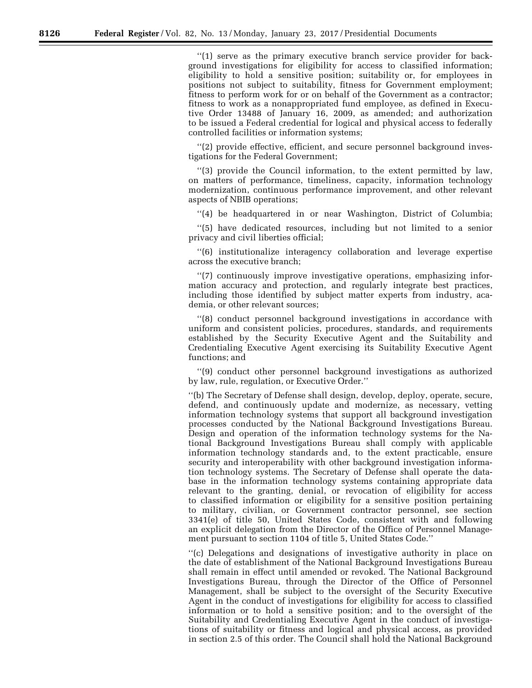''(1) serve as the primary executive branch service provider for background investigations for eligibility for access to classified information; eligibility to hold a sensitive position; suitability or, for employees in positions not subject to suitability, fitness for Government employment; fitness to perform work for or on behalf of the Government as a contractor; fitness to work as a nonappropriated fund employee, as defined in Executive Order 13488 of January 16, 2009, as amended; and authorization to be issued a Federal credential for logical and physical access to federally controlled facilities or information systems;

''(2) provide effective, efficient, and secure personnel background investigations for the Federal Government;

''(3) provide the Council information, to the extent permitted by law, on matters of performance, timeliness, capacity, information technology modernization, continuous performance improvement, and other relevant aspects of NBIB operations;

''(4) be headquartered in or near Washington, District of Columbia;

''(5) have dedicated resources, including but not limited to a senior privacy and civil liberties official;

''(6) institutionalize interagency collaboration and leverage expertise across the executive branch;

''(7) continuously improve investigative operations, emphasizing information accuracy and protection, and regularly integrate best practices, including those identified by subject matter experts from industry, academia, or other relevant sources;

''(8) conduct personnel background investigations in accordance with uniform and consistent policies, procedures, standards, and requirements established by the Security Executive Agent and the Suitability and Credentialing Executive Agent exercising its Suitability Executive Agent functions; and

''(9) conduct other personnel background investigations as authorized by law, rule, regulation, or Executive Order.''

''(b) The Secretary of Defense shall design, develop, deploy, operate, secure, defend, and continuously update and modernize, as necessary, vetting information technology systems that support all background investigation processes conducted by the National Background Investigations Bureau. Design and operation of the information technology systems for the National Background Investigations Bureau shall comply with applicable information technology standards and, to the extent practicable, ensure security and interoperability with other background investigation information technology systems. The Secretary of Defense shall operate the database in the information technology systems containing appropriate data relevant to the granting, denial, or revocation of eligibility for access to classified information or eligibility for a sensitive position pertaining to military, civilian, or Government contractor personnel, see section 3341(e) of title 50, United States Code, consistent with and following an explicit delegation from the Director of the Office of Personnel Management pursuant to section 1104 of title 5, United States Code.''

''(c) Delegations and designations of investigative authority in place on the date of establishment of the National Background Investigations Bureau shall remain in effect until amended or revoked. The National Background Investigations Bureau, through the Director of the Office of Personnel Management, shall be subject to the oversight of the Security Executive Agent in the conduct of investigations for eligibility for access to classified information or to hold a sensitive position; and to the oversight of the Suitability and Credentialing Executive Agent in the conduct of investigations of suitability or fitness and logical and physical access, as provided in section 2.5 of this order. The Council shall hold the National Background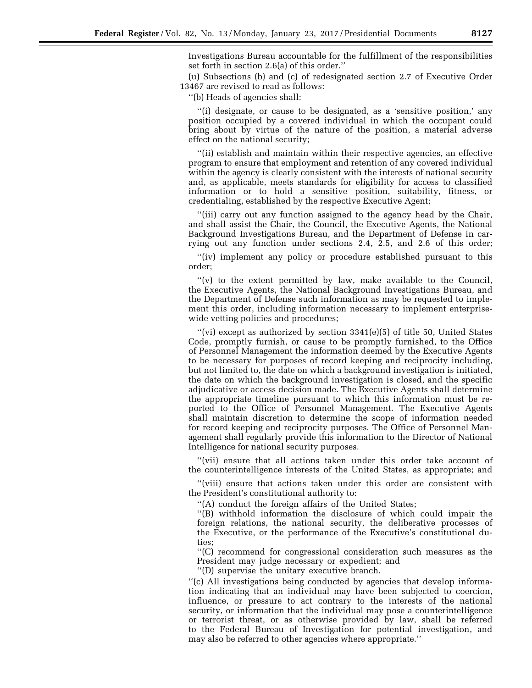Investigations Bureau accountable for the fulfillment of the responsibilities set forth in section 2.6(a) of this order.''

(u) Subsections (b) and (c) of redesignated section 2.7 of Executive Order 13467 are revised to read as follows:

''(b) Heads of agencies shall:

''(i) designate, or cause to be designated, as a 'sensitive position,' any position occupied by a covered individual in which the occupant could bring about by virtue of the nature of the position, a material adverse effect on the national security;

''(ii) establish and maintain within their respective agencies, an effective program to ensure that employment and retention of any covered individual within the agency is clearly consistent with the interests of national security and, as applicable, meets standards for eligibility for access to classified information or to hold a sensitive position, suitability, fitness, or credentialing, established by the respective Executive Agent;

''(iii) carry out any function assigned to the agency head by the Chair, and shall assist the Chair, the Council, the Executive Agents, the National Background Investigations Bureau, and the Department of Defense in carrying out any function under sections 2.4, 2.5, and 2.6 of this order;

"(iv) implement any policy or procedure established pursuant to this order;

"(v) to the extent permitted by law, make available to the Council, the Executive Agents, the National Background Investigations Bureau, and the Department of Defense such information as may be requested to implement this order, including information necessary to implement enterprisewide vetting policies and procedures;

 $''(vi)$  except as authorized by section 3341(e)(5) of title 50, United States Code, promptly furnish, or cause to be promptly furnished, to the Office of Personnel Management the information deemed by the Executive Agents to be necessary for purposes of record keeping and reciprocity including, but not limited to, the date on which a background investigation is initiated, the date on which the background investigation is closed, and the specific adjudicative or access decision made. The Executive Agents shall determine the appropriate timeline pursuant to which this information must be reported to the Office of Personnel Management. The Executive Agents shall maintain discretion to determine the scope of information needed for record keeping and reciprocity purposes. The Office of Personnel Management shall regularly provide this information to the Director of National Intelligence for national security purposes.

''(vii) ensure that all actions taken under this order take account of the counterintelligence interests of the United States, as appropriate; and

''(viii) ensure that actions taken under this order are consistent with the President's constitutional authority to:

''(A) conduct the foreign affairs of the United States;

''(B) withhold information the disclosure of which could impair the foreign relations, the national security, the deliberative processes of the Executive, or the performance of the Executive's constitutional duties;

''(C) recommend for congressional consideration such measures as the President may judge necessary or expedient; and

''(D) supervise the unitary executive branch.

''(c) All investigations being conducted by agencies that develop information indicating that an individual may have been subjected to coercion, influence, or pressure to act contrary to the interests of the national security, or information that the individual may pose a counterintelligence or terrorist threat, or as otherwise provided by law, shall be referred to the Federal Bureau of Investigation for potential investigation, and may also be referred to other agencies where appropriate.''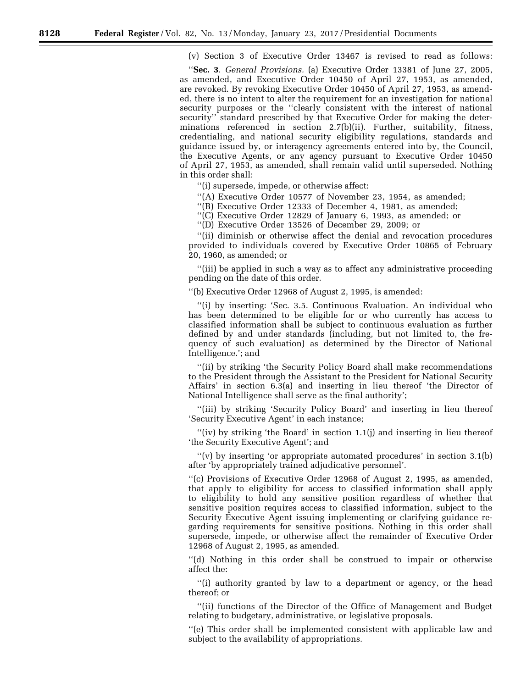(v) Section 3 of Executive Order 13467 is revised to read as follows:

''**Sec. 3**. *General Provisions.* (a) Executive Order 13381 of June 27, 2005, as amended, and Executive Order 10450 of April 27, 1953, as amended, are revoked. By revoking Executive Order 10450 of April 27, 1953, as amended, there is no intent to alter the requirement for an investigation for national security purposes or the ''clearly consistent with the interest of national security'' standard prescribed by that Executive Order for making the determinations referenced in section 2.7(b)(ii). Further, suitability, fitness, credentialing, and national security eligibility regulations, standards and guidance issued by, or interagency agreements entered into by, the Council, the Executive Agents, or any agency pursuant to Executive Order 10450 of April 27, 1953, as amended, shall remain valid until superseded. Nothing in this order shall:

''(i) supersede, impede, or otherwise affect:

''(A) Executive Order 10577 of November 23, 1954, as amended;

''(B) Executive Order 12333 of December 4, 1981, as amended;

''(C) Executive Order 12829 of January 6, 1993, as amended; or

''(D) Executive Order 13526 of December 29, 2009; or

''(ii) diminish or otherwise affect the denial and revocation procedures provided to individuals covered by Executive Order 10865 of February 20, 1960, as amended; or

''(iii) be applied in such a way as to affect any administrative proceeding pending on the date of this order.

''(b) Executive Order 12968 of August 2, 1995, is amended:

''(i) by inserting: 'Sec. 3.5. Continuous Evaluation. An individual who has been determined to be eligible for or who currently has access to classified information shall be subject to continuous evaluation as further defined by and under standards (including, but not limited to, the frequency of such evaluation) as determined by the Director of National Intelligence.'; and

''(ii) by striking 'the Security Policy Board shall make recommendations to the President through the Assistant to the President for National Security Affairs' in section 6.3(a) and inserting in lieu thereof 'the Director of National Intelligence shall serve as the final authority';

''(iii) by striking 'Security Policy Board' and inserting in lieu thereof 'Security Executive Agent' in each instance;

''(iv) by striking 'the Board' in section 1.1(j) and inserting in lieu thereof 'the Security Executive Agent'; and

 $''(v)$  by inserting 'or appropriate automated procedures' in section 3.1(b) after 'by appropriately trained adjudicative personnel'.

''(c) Provisions of Executive Order 12968 of August 2, 1995, as amended, that apply to eligibility for access to classified information shall apply to eligibility to hold any sensitive position regardless of whether that sensitive position requires access to classified information, subject to the Security Executive Agent issuing implementing or clarifying guidance regarding requirements for sensitive positions. Nothing in this order shall supersede, impede, or otherwise affect the remainder of Executive Order 12968 of August 2, 1995, as amended.

''(d) Nothing in this order shall be construed to impair or otherwise affect the:

"(i) authority granted by law to a department or agency, or the head thereof; or

''(ii) functions of the Director of the Office of Management and Budget relating to budgetary, administrative, or legislative proposals.

''(e) This order shall be implemented consistent with applicable law and subject to the availability of appropriations.